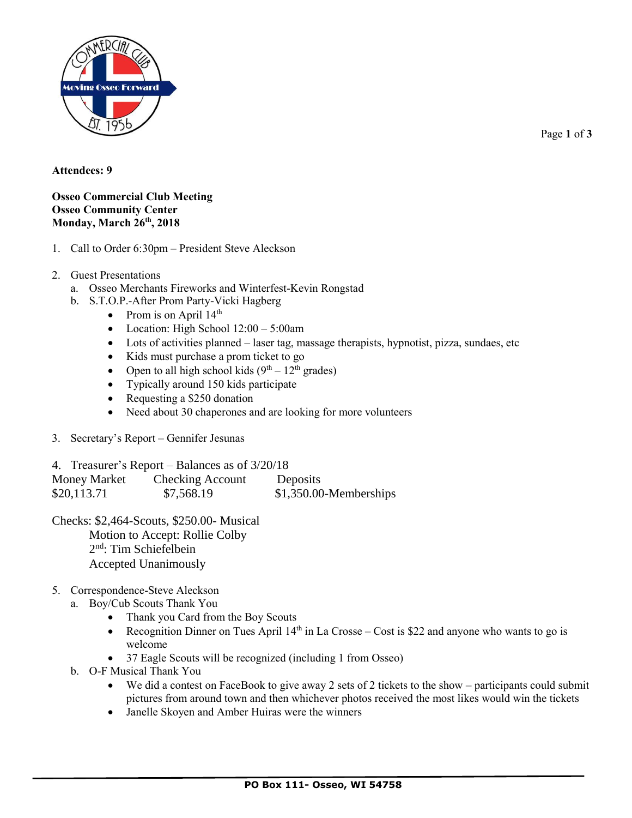

Page **1** of **3**

## **Attendees: 9**

## **Osseo Commercial Club Meeting Osseo Community Center Monday, March 26th, 2018**

- 1. Call to Order 6:30pm President Steve Aleckson
- 2. Guest Presentations
	- a. Osseo Merchants Fireworks and Winterfest-Kevin Rongstad
	- b. S.T.O.P.-After Prom Party-Vicki Hagberg
		- Prom is on April  $14<sup>th</sup>$
		- Location: High School  $12:00 5:00$ am
		- Lots of activities planned laser tag, massage therapists, hypnotist, pizza, sundaes, etc
		- Kids must purchase a prom ticket to go
		- Open to all high school kids  $(9<sup>th</sup> 12<sup>th</sup>$  grades)
		- Typically around 150 kids participate
		- Requesting a \$250 donation
		- Need about 30 chaperones and are looking for more volunteers
- 3. Secretary's Report Gennifer Jesunas

4. Treasurer's Report – Balances as of 3/20/18 Money Market Checking Account Deposits \$20,113.71 \$7,568.19 \$1,350.00-Memberships

Checks: \$2,464-Scouts, \$250.00- Musical Motion to Accept: Rollie Colby 2<sup>nd</sup>: Tim Schiefelbein Accepted Unanimously

## 5. Correspondence-Steve Aleckson

- a. Boy/Cub Scouts Thank You
	- Thank you Card from the Boy Scouts
	- Recognition Dinner on Tues April  $14<sup>th</sup>$  in La Crosse Cost is \$22 and anyone who wants to go is welcome
	- 37 Eagle Scouts will be recognized (including 1 from Osseo)
- b. O-F Musical Thank You
	- We did a contest on FaceBook to give away 2 sets of 2 tickets to the show participants could submit pictures from around town and then whichever photos received the most likes would win the tickets
	- Janelle Skoyen and Amber Huiras were the winners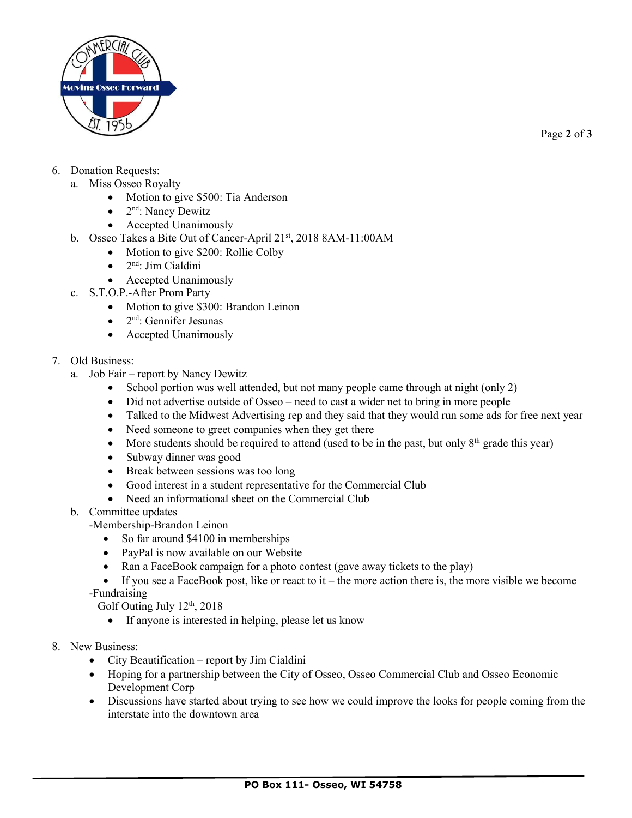

Page **2** of **3**

- 6. Donation Requests:
	- a. Miss Osseo Royalty
		- Motion to give \$500: Tia Anderson
		- 2<sup>nd</sup>: Nancy Dewitz
		- Accepted Unanimously
	- b. Osseo Takes a Bite Out of Cancer-April 21st, 2018 8AM-11:00AM
		- Motion to give \$200: Rollie Colby
			- 2<sup>nd</sup>: Jim Cialdini
			- Accepted Unanimously
	- c. S.T.O.P.-After Prom Party
		- Motion to give \$300: Brandon Leinon
		- $\bullet$  2<sup>nd</sup>: Gennifer Jesunas
		- Accepted Unanimously
- 7. Old Business:
	- a. Job Fair report by Nancy Dewitz
		- School portion was well attended, but not many people came through at night (only 2)
		- Did not advertise outside of Osseo need to cast a wider net to bring in more people
		- Talked to the Midwest Advertising rep and they said that they would run some ads for free next year
		- Need someone to greet companies when they get there
		- More students should be required to attend (used to be in the past, but only  $8<sup>th</sup>$  grade this year)
		- Subway dinner was good
		- Break between sessions was too long
		- Good interest in a student representative for the Commercial Club
		- Need an informational sheet on the Commercial Club
	- b. Committee updates
		- -Membership-Brandon Leinon
			- So far around \$4100 in memberships
			- PayPal is now available on our Website
			- Ran a FaceBook campaign for a photo contest (gave away tickets to the play)

 $\bullet$  If you see a FaceBook post, like or react to it – the more action there is, the more visible we become -Fundraising

Golf Outing July  $12<sup>th</sup>$ , 2018

- If anyone is interested in helping, please let us know
- 8. New Business:
	- City Beautification report by Jim Cialdini
	- Hoping for a partnership between the City of Osseo, Osseo Commercial Club and Osseo Economic Development Corp
	- Discussions have started about trying to see how we could improve the looks for people coming from the interstate into the downtown area